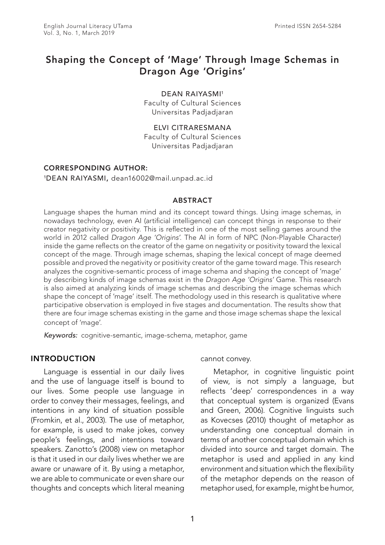# Shaping the Concept of 'Mage' Through Image Schemas in Dragon Age 'Origins'

DEAN RAIYASMI<sup>1</sup> Faculty of Cultural Sciences Universitas Padjadjaran

ELVI CITRARESMANA Faculty of Cultural Sciences Universitas Padjadjaran

### CORRESPONDING AUTHOR:

1DEAN RAIYASMI, dean16002@mail.unpad.ac.id

#### ABSTRACT

Language shapes the human mind and its concept toward things. Using image schemas, in nowadays technology, even AI (artificial intelligence) can concept things in response to their creator negativity or positivity. This is reflected in one of the most selling games around the world in 2012 called *Dragon Age 'Origins'*. The AI in form of NPC (Non-Playable Character) inside the game reflects on the creator of the game on negativity or positivity toward the lexical concept of the mage. Through image schemas, shaping the lexical concept of mage deemed possible and proved the negativity or positivity creator of the game toward mage. This research analyzes the cognitive-semantic process of image schema and shaping the concept of 'mage' by describing kinds of image schemas exist in the *Dragon Age 'Origins'* Game. This research is also aimed at analyzing kinds of image schemas and describing the image schemas which shape the concept of 'mage' itself. The methodology used in this research is qualitative where participative observation is employed in five stages and documentation. The results show that there are four image schemas existing in the game and those image schemas shape the lexical concept of 'mage'.

*Keywords:* cognitive-semantic, image-schema, metaphor, game

#### INTRODUCTION

Language is essential in our daily lives and the use of language itself is bound to our lives. Some people use language in order to convey their messages, feelings, and intentions in any kind of situation possible (Fromkin, et al., 2003). The use of metaphor, for example, is used to make jokes, convey people's feelings, and intentions toward speakers. Zanotto's (2008) view on metaphor is that it used in our daily lives whether we are aware or unaware of it. By using a metaphor, we are able to communicate or even share our thoughts and concepts which literal meaning cannot convey.

Metaphor, in cognitive linguistic point of view, is not simply a language, but reflects 'deep' correspondences in a way that conceptual system is organized (Evans and Green, 2006). Cognitive linguists such as Kovecses (2010) thought of metaphor as understanding one conceptual domain in terms of another conceptual domain which is divided into source and target domain. The metaphor is used and applied in any kind environment and situation which the flexibility of the metaphor depends on the reason of metaphor used, for example, might be humor,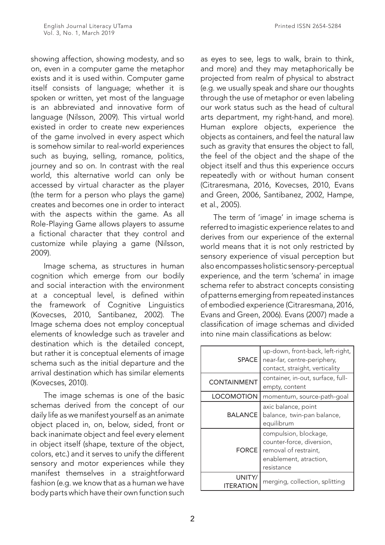showing affection, showing modesty, and so on, even in a computer game the metaphor exists and it is used within. Computer game itself consists of language; whether it is spoken or written, yet most of the language is an abbreviated and innovative form of language (Nilsson, 2009). This virtual world existed in order to create new experiences of the game involved in every aspect which is somehow similar to real-world experiences such as buying, selling, romance, politics, journey and so on. In contrast with the real world, this alternative world can only be accessed by virtual character as the player (the term for a person who plays the game) creates and becomes one in order to interact with the aspects within the game. As all Role-Playing Game allows players to assume a fictional character that they control and customize while playing a game (Nilsson, 2009).

Image schema, as structures in human cognition which emerge from our bodily and social interaction with the environment at a conceptual level, is defined within the framework of Cognitive Linguistics (Kovecses, 2010, Santibanez, 2002). The Image schema does not employ conceptual elements of knowledge such as traveler and destination which is the detailed concept, but rather it is conceptual elements of image schema such as the initial departure and the arrival destination which has similar elements (Kovecses, 2010).

The image schemas is one of the basic schemas derived from the concept of our daily life as we manifest yourself as an animate object placed in, on, below, sided, front or back inanimate object and feel every element in object itself (shape, texture of the object, colors, etc.) and it serves to unify the different sensory and motor experiences while they manifest themselves in a straightforward fashion (e.g. we know that as a human we have body parts which have their own function such

as eyes to see, legs to walk, brain to think, and more) and they may metaphorically be projected from realm of physical to abstract (e.g. we usually speak and share our thoughts through the use of metaphor or even labeling our work status such as the head of cultural arts department, my right-hand, and more). Human explore objects, experience the objects as containers, and feel the natural law such as gravity that ensures the object to fall, the feel of the object and the shape of the object itself and thus this experience occurs repeatedly with or without human consent (Citraresmana, 2016, Kovecses, 2010, Evans and Green, 2006, Santibanez, 2002, Hampe, et al., 2005).

The term of 'image' in image schema is referred to imagistic experience relates to and derives from our experience of the external world means that it is not only restricted by sensory experience of visual perception but also encompasses holistic sensory-perceptual experience, and the term 'schema' in image schema refer to abstract concepts consisting of patterns emerging from repeated instances of embodied experience (Citraresmana, 2016, Evans and Green, 2006). Evans (2007) made a classification of image schemas and divided into nine main classifications as below:

| <b>SPACE</b>        | up-down, front-back, left-right,<br>near-far, centre-periphery,<br>contact, straight, verticality                   |
|---------------------|---------------------------------------------------------------------------------------------------------------------|
| <b>CONTAINMENT</b>  | container, in-out, surface, full-<br>empty, content                                                                 |
| <b>LOCOMOTION</b>   | momentum, source-path-goal                                                                                          |
| <b>BALANCE</b>      | axic balance, point<br>balance, twin-pan balance,<br>equilibrum                                                     |
| <b>FORCE</b>        | compulsion, blockage,<br>counter-force, diversion,<br>removal of restraint,<br>enablement, atraction,<br>resistance |
| UNITY/<br>ITERATION | merging, collection, splitting                                                                                      |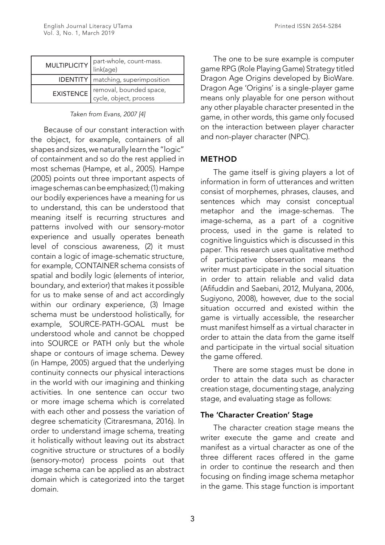| <b>MULTIPLICITY</b> | part-whole, count-mass.<br>link(age)              |
|---------------------|---------------------------------------------------|
|                     | <b>IDENTITY</b>   matching, superimposition       |
| <b>EXISTENCE</b>    | removal, bounded space,<br>cycle, object, process |

*Taken from Evans, 2007 [4]*

Because of our constant interaction with the object, for example, containers of all shapes and sizes, we naturally learn the "logic" of containment and so do the rest applied in most schemas (Hampe, et al., 2005). Hampe (2005) points out three important aspects of image schemas can be emphasized; (1) making our bodily experiences have a meaning for us to understand, this can be understood that meaning itself is recurring structures and patterns involved with our sensory-motor experience and usually operates beneath level of conscious awareness, (2) it must contain a logic of image-schematic structure, for example, CONTAINER schema consists of spatial and bodily logic (elements of interior, boundary, and exterior) that makes it possible for us to make sense of and act accordingly within our ordinary experience, (3) Image schema must be understood holistically, for example, SOURCE-PATH-GOAL must be understood whole and cannot be chopped into SOURCE or PATH only but the whole shape or contours of image schema. Dewey (in Hampe, 2005) argued that the underlying continuity connects our physical interactions in the world with our imagining and thinking activities. In one sentence can occur two or more image schema which is correlated with each other and possess the variation of degree schematicity (Citraresmana, 2016). In order to understand image schema, treating it holistically without leaving out its abstract cognitive structure or structures of a bodily (sensory-motor) process points out that image schema can be applied as an abstract domain which is categorized into the target domain.

The one to be sure example is computer game RPG (Role Playing Game) Strategy titled Dragon Age Origins developed by BioWare. Dragon Age 'Origins' is a single-player game means only playable for one person without any other playable character presented in the game, in other words, this game only focused on the interaction between player character and non-player character (NPC).

# METHOD

The game itself is giving players a lot of information in form of utterances and written consist of morphemes, phrases, clauses, and sentences which may consist conceptual metaphor and the image-schemas. The image-schema, as a part of a cognitive process, used in the game is related to cognitive linguistics which is discussed in this paper. This research uses qualitative method of participative observation means the writer must participate in the social situation in order to attain reliable and valid data (Afifuddin and Saebani, 2012, Mulyana, 2006, Sugiyono, 2008), however, due to the social situation occurred and existed within the game is virtually accessible, the researcher must manifest himself as a virtual character in order to attain the data from the game itself and participate in the virtual social situation the game offered.

There are some stages must be done in order to attain the data such as character creation stage, documenting stage, analyzing stage, and evaluating stage as follows:

# The 'Character Creation' Stage

The character creation stage means the writer execute the game and create and manifest as a virtual character as one of the three different races offered in the game in order to continue the research and then focusing on finding image schema metaphor in the game. This stage function is important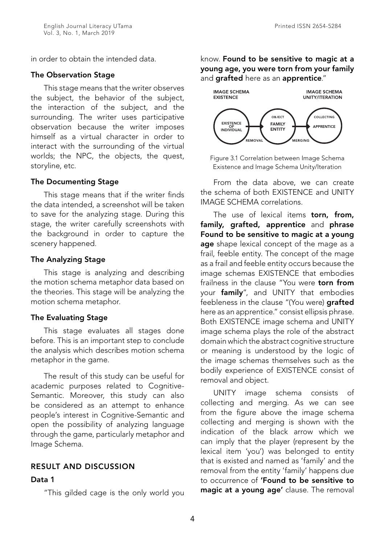in order to obtain the intended data.

#### The Observation Stage

This stage means that the writer observes the subject, the behavior of the subject, the interaction of the subject, and the surrounding. The writer uses participative observation because the writer imposes himself as a virtual character in order to interact with the surrounding of the virtual worlds; the NPC, the objects, the quest, storyline, etc.

#### The Documenting Stage

This stage means that if the writer finds the data intended, a screenshot will be taken to save for the analyzing stage. During this stage, the writer carefully screenshots with the background in order to capture the scenery happened.

#### The Analyzing Stage

This stage is analyzing and describing the motion schema metaphor data based on the theories. This stage will be analyzing the motion schema metaphor.

### The Evaluating Stage

This stage evaluates all stages done before. This is an important step to conclude the analysis which describes motion schema metaphor in the game.

The result of this study can be useful for academic purposes related to Cognitive-Semantic. Moreover, this study can also be considered as an attempt to enhance people's interest in Cognitive-Semantic and open the possibility of analyzing language through the game, particularly metaphor and Image Schema.

### RESULT AND DISCUSSION

#### Data 1

"This gilded cage is the only world you

know. Found to be sensitive to magic at a young age, you were torn from your family and **grafted** here as an **apprentice**."



Figure 3.1 Correlation between Image Schema Existence and Image Schema Unity/Iteration

From the data above, we can create the schema of both EXISTENCE and UNITY IMAGE SCHEMA correlations.

The use of lexical items torn, from, family, grafted, apprentice and phrase Found to be sensitive to magic at a young age shape lexical concept of the mage as a frail, feeble entity. The concept of the mage as a frail and feeble entity occurs because the image schemas EXISTENCE that embodies frailness in the clause "You were torn from your family", and UNITY that embodies feebleness in the clause "(You were) arafted here as an apprentice." consist ellipsis phrase. Both EXISTENCE image schema and UNITY image schema plays the role of the abstract domain which the abstract cognitive structure or meaning is understood by the logic of the image schemas themselves such as the bodily experience of EXISTENCE consist of removal and object.

UNITY image schema consists of collecting and merging. As we can see from the figure above the image schema collecting and merging is shown with the indication of the black arrow which we can imply that the player (represent by the lexical item 'you') was belonged to entity that is existed and named as 'family' and the removal from the entity 'family' happens due to occurrence of 'Found to be sensitive to magic at a young age' clause. The removal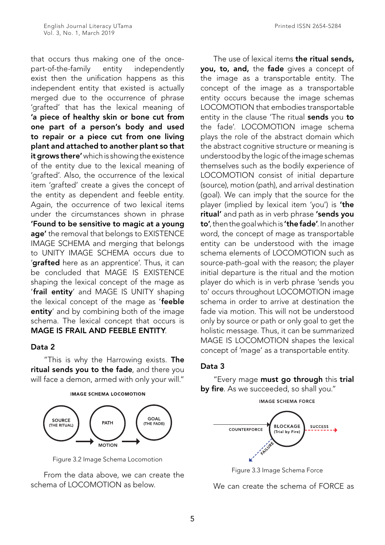that occurs thus making one of the oncepart-of-the-family entity independently exist then the unification happens as this independent entity that existed is actually merged due to the occurrence of phrase 'grafted' that has the lexical meaning of 'a piece of healthy skin or bone cut from one part of a person's body and used to repair or a piece cut from one living plant and attached to another plant so that it grows there' which is showing the existence of the entity due to the lexical meaning of 'grafted'. Also, the occurrence of the lexical item 'grafted' create a gives the concept of the entity as dependent and feeble entity. Again, the occurrence of two lexical items under the circumstances shown in phrase 'Found to be sensitive to magic at a young age' the removal that belongs to EXISTENCE IMAGE SCHEMA and merging that belongs to UNITY IMAGE SCHEMA occurs due to '**grafted** here as an apprentice'. Thus, it can be concluded that MAGE IS EXISTENCE shaping the lexical concept of the mage as 'frail entity' and MAGE IS UNITY shaping the lexical concept of the mage as 'feeble entity' and by combining both of the image schema. The lexical concept that occurs is MAGE IS FRAIL AND FEEBLE ENTITY.

# Data 2

"This is why the Harrowing exists. The ritual sends you to the fade, and there you will face a demon, armed with only your will."



Figure 3.2 Image Schema Locomotion

From the data above, we can create the schema of LOCOMOTION as below.

The use of lexical items the ritual sends, you, to, and, the fade gives a concept of the image as a transportable entity. The concept of the image as a transportable entity occurs because the image schemas LOCOMOTION that embodies transportable entity in the clause 'The ritual sends you to the fade'. LOCOMOTION image schema plays the role of the abstract domain which the abstract cognitive structure or meaning is understood by the logic of the image schemas themselves such as the bodily experience of LOCOMOTION consist of initial departure (source), motion (path), and arrival destination (goal). We can imply that the source for the player (implied by lexical item 'you') is 'the ritual' and path as in verb phrase 'sends you to', then the goal which is 'the fade'. In another word, the concept of mage as transportable entity can be understood with the image schema elements of LOCOMOTION such as source-path-goal with the reason; the player initial departure is the ritual and the motion player do which is in verb phrase 'sends you to' occurs throughout LOCOMOTION image schema in order to arrive at destination the fade via motion. This will not be understood only by source or path or only goal to get the holistic message. Thus, it can be summarized MAGE IS LOCOMOTION shapes the lexical concept of 'mage' as a transportable entity.

# Data 3

"Every mage must go through this trial by fire. As we succeeded, so shall you."



Figure 3.3 Image Schema Force

We can create the schema of FORCE as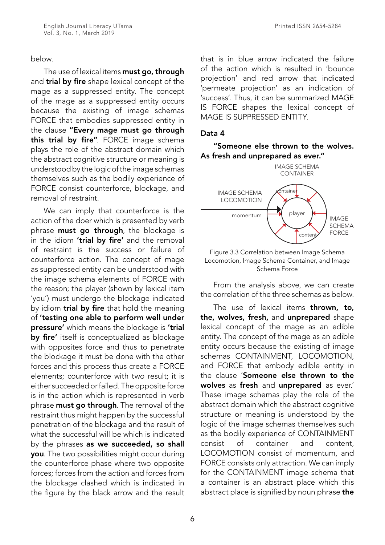### below.

The use of lexical items must go, through and trial by fire shape lexical concept of the mage as a suppressed entity. The concept of the mage as a suppressed entity occurs because the existing of image schemas FORCE that embodies suppressed entity in the clause "Every mage must go through this trial by fire". FORCE image schema plays the role of the abstract domain which the abstract cognitive structure or meaning is understood by the logic of the image schemas themselves such as the bodily experience of FORCE consist counterforce, blockage, and removal of restraint.

We can imply that counterforce is the action of the doer which is presented by verb phrase **must go through**, the blockage is in the idiom 'trial by fire' and the removal of restraint is the success or failure of counterforce action. The concept of mage as suppressed entity can be understood with the image schema elements of FORCE with the reason; the player (shown by lexical item 'you') must undergo the blockage indicated by idiom **trial by fire** that hold the meaning of 'testing one able to perform well under pressure' which means the blockage is 'trial by fire' itself is conceptualized as blockage with opposites force and thus to penetrate the blockage it must be done with the other forces and this process thus create a FORCE elements; counterforce with two result; it is either succeeded or failed. The opposite force is in the action which is represented in verb phrase **must go through**. The removal of the restraint thus might happen by the successful penetration of the blockage and the result of what the successful will be which is indicated by the phrases as we succeeded, so shall you. The two possibilities might occur during the counterforce phase where two opposite forces; forces from the action and forces from the blockage clashed which is indicated in the figure by the black arrow and the result

that is in blue arrow indicated the failure of the action which is resulted in 'bounce projection' and red arrow that indicated 'permeate projection' as an indication of 'success'. Thus, it can be summarized MAGE IS FORCE shapes the lexical concept of MAGE IS SUPPRESSED ENTITY.

## Data 4

"Someone else thrown to the wolves. As fresh and unprepared as ever."



Figure 3.3 Correlation between Image Schema Locomotion, Image Schema Container, and Image Schema Force

From the analysis above, we can create the correlation of the three schemas as below.

The use of lexical items **thrown, to,** the, wolves, fresh, and unprepared shape lexical concept of the mage as an edible entity. The concept of the mage as an edible entity occurs because the existing of image schemas CONTAINMENT, LOCOMOTION, and FORCE that embody edible entity in the clause 'Someone else thrown to the wolves as fresh and unprepared as ever.' These image schemas play the role of the abstract domain which the abstract cognitive structure or meaning is understood by the logic of the image schemas themselves such as the bodily experience of CONTAINMENT consist of container and content, LOCOMOTION consist of momentum, and FORCE consists only attraction. We can imply for the CONTAINMENT image schema that a container is an abstract place which this abstract place is signified by noun phrase the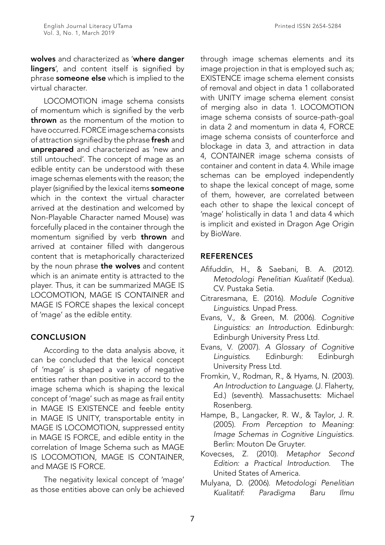wolves and characterized as 'where danger lingers', and content itself is signified by phrase someone else which is implied to the virtual character.

LOCOMOTION image schema consists of momentum which is signified by the verb thrown as the momentum of the motion to have occurred. FORCE image schema consists of attraction signified by the phrase fresh and unprepared and characterized as 'new and still untouched'. The concept of mage as an edible entity can be understood with these image schemas elements with the reason; the player (signified by the lexical items someone which in the context the virtual character arrived at the destination and welcomed by Non-Playable Character named Mouse) was forcefully placed in the container through the momentum signified by verb thrown and arrived at container filled with dangerous content that is metaphorically characterized by the noun phrase the wolves and content which is an animate entity is attracted to the player. Thus, it can be summarized MAGE IS LOCOMOTION, MAGE IS CONTAINER and MAGE IS FORCE shapes the lexical concept of 'mage' as the edible entity.

# **CONCLUSION**

According to the data analysis above, it can be concluded that the lexical concept of 'mage' is shaped a variety of negative entities rather than positive in accord to the image schema which is shaping the lexical concept of 'mage' such as mage as frail entity in MAGE IS EXISTENCE and feeble entity in MAGE IS UNITY, transportable entity in MAGE IS LOCOMOTION, suppressed entity in MAGE IS FORCE, and edible entity in the correlation of Image Schema such as MAGE IS LOCOMOTION, MAGE IS CONTAINER, and MAGE IS FORCE.

The negativity lexical concept of 'mage' as those entities above can only be achieved through image schemas elements and its image projection in that is employed such as; EXISTENCE image schema element consists of removal and object in data 1 collaborated with UNITY image schema element consist of merging also in data 1. LOCOMOTION image schema consists of source-path-goal in data 2 and momentum in data 4, FORCE image schema consists of counterforce and blockage in data 3, and attraction in data 4, CONTAINER image schema consists of container and content in data 4. While image schemas can be employed independently to shape the lexical concept of mage, some of them, however, are correlated between each other to shape the lexical concept of 'mage' holistically in data 1 and data 4 which is implicit and existed in Dragon Age Origin by BioWare.

# REFERENCES

- Afifuddin, H., & Saebani, B. A. (2012). *Metodologi Penelitian Kualitatif* (Kedua). CV. Pustaka Setia.
- Citraresmana, E. (2016). *Module Cognitive Linguistics*. Unpad Press.
- Evans, V., & Green, M. (2006). *Cognitive Linguistics: an Introduction*. Edinburgh: Edinburgh University Press Ltd.
- Evans, V. (2007). *A Glossary of Cognitive Linguistics*. Edinburgh: Edinburgh University Press Ltd.
- Fromkin, V., Rodman, R., & Hyams, N. (2003). *An Introduction to Language*. (J. Flaherty, Ed.) (seventh). Massachusetts: Michael Rosenberg.
- Hampe, B., Langacker, R. W., & Taylor, J. R. (2005). *From Perception to Meaning: Image Schemas in Cognitive Linguistics.*  Berlin: Mouton De Gruyter.
- Kovecses, Z. (2010). *Metaphor Second Edition: a Practical Introduction.* The United States of America.
- Mulyana, D. (2006). *Metodologi Penelitian Kualitatif: Paradigma Baru Ilmu*